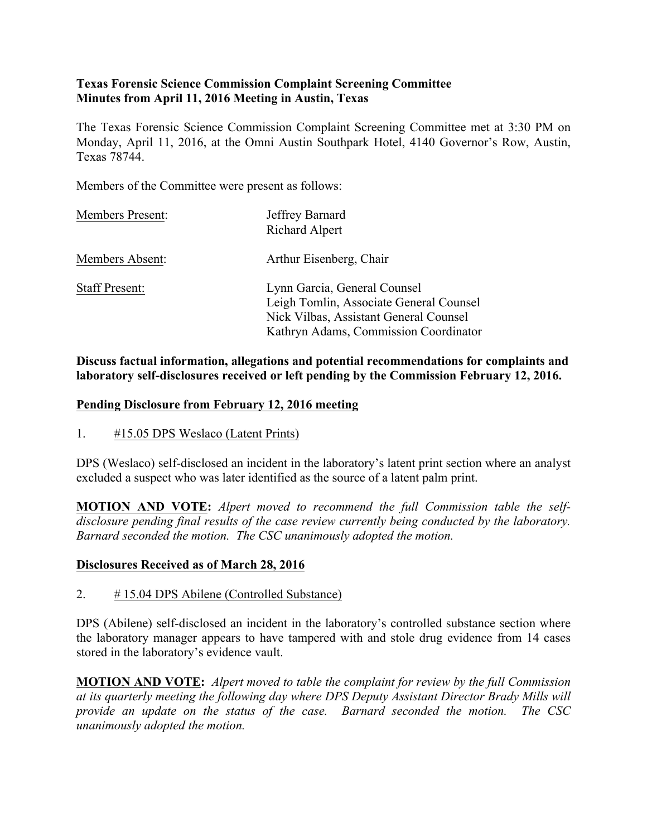#### **Texas Forensic Science Commission Complaint Screening Committee Minutes from April 11, 2016 Meeting in Austin, Texas**

The Texas Forensic Science Commission Complaint Screening Committee met at 3:30 PM on Monday, April 11, 2016, at the Omni Austin Southpark Hotel, 4140 Governor's Row, Austin, Texas 78744.

Members of the Committee were present as follows:

| <b>Members Present:</b> | Jeffrey Barnard<br>Richard Alpert                                                                                                                          |
|-------------------------|------------------------------------------------------------------------------------------------------------------------------------------------------------|
| Members Absent:         | Arthur Eisenberg, Chair                                                                                                                                    |
| <b>Staff Present:</b>   | Lynn Garcia, General Counsel<br>Leigh Tomlin, Associate General Counsel<br>Nick Vilbas, Assistant General Counsel<br>Kathryn Adams, Commission Coordinator |

#### **Discuss factual information, allegations and potential recommendations for complaints and laboratory self-disclosures received or left pending by the Commission February 12, 2016.**

#### **Pending Disclosure from February 12, 2016 meeting**

1. #15.05 DPS Weslaco (Latent Prints)

DPS (Weslaco) self-disclosed an incident in the laboratory's latent print section where an analyst excluded a suspect who was later identified as the source of a latent palm print.

**MOTION AND VOTE:** *Alpert moved to recommend the full Commission table the selfdisclosure pending final results of the case review currently being conducted by the laboratory. Barnard seconded the motion. The CSC unanimously adopted the motion.*

#### **Disclosures Received as of March 28, 2016**

2. # 15.04 DPS Abilene (Controlled Substance)

DPS (Abilene) self-disclosed an incident in the laboratory's controlled substance section where the laboratory manager appears to have tampered with and stole drug evidence from 14 cases stored in the laboratory's evidence vault.

**MOTION AND VOTE:** *Alpert moved to table the complaint for review by the full Commission at its quarterly meeting the following day where DPS Deputy Assistant Director Brady Mills will provide an update on the status of the case. Barnard seconded the motion. The CSC unanimously adopted the motion.*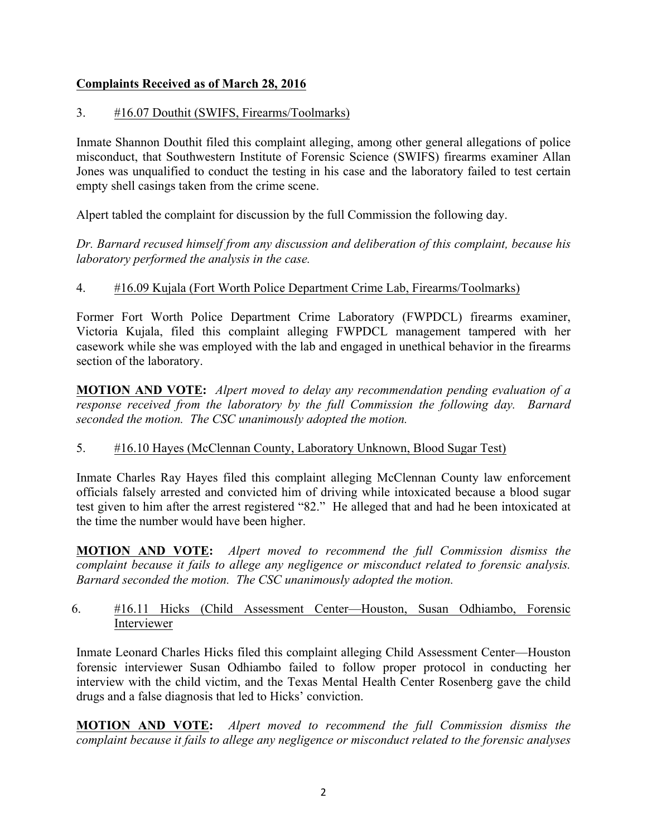## **Complaints Received as of March 28, 2016**

## 3. #16.07 Douthit (SWIFS, Firearms/Toolmarks)

Inmate Shannon Douthit filed this complaint alleging, among other general allegations of police misconduct, that Southwestern Institute of Forensic Science (SWIFS) firearms examiner Allan Jones was unqualified to conduct the testing in his case and the laboratory failed to test certain empty shell casings taken from the crime scene.

Alpert tabled the complaint for discussion by the full Commission the following day.

*Dr. Barnard recused himself from any discussion and deliberation of this complaint, because his laboratory performed the analysis in the case.*

## 4. #16.09 Kujala (Fort Worth Police Department Crime Lab, Firearms/Toolmarks)

Former Fort Worth Police Department Crime Laboratory (FWPDCL) firearms examiner, Victoria Kujala, filed this complaint alleging FWPDCL management tampered with her casework while she was employed with the lab and engaged in unethical behavior in the firearms section of the laboratory.

**MOTION AND VOTE:** *Alpert moved to delay any recommendation pending evaluation of a response received from the laboratory by the full Commission the following day. Barnard seconded the motion. The CSC unanimously adopted the motion.*

#### 5. #16.10 Hayes (McClennan County, Laboratory Unknown, Blood Sugar Test)

Inmate Charles Ray Hayes filed this complaint alleging McClennan County law enforcement officials falsely arrested and convicted him of driving while intoxicated because a blood sugar test given to him after the arrest registered "82." He alleged that and had he been intoxicated at the time the number would have been higher.

**MOTION AND VOTE:** *Alpert moved to recommend the full Commission dismiss the complaint because it fails to allege any negligence or misconduct related to forensic analysis. Barnard seconded the motion. The CSC unanimously adopted the motion.*

## 6. #16.11 Hicks (Child Assessment Center—Houston, Susan Odhiambo, Forensic Interviewer

Inmate Leonard Charles Hicks filed this complaint alleging Child Assessment Center—Houston forensic interviewer Susan Odhiambo failed to follow proper protocol in conducting her interview with the child victim, and the Texas Mental Health Center Rosenberg gave the child drugs and a false diagnosis that led to Hicks' conviction.

**MOTION AND VOTE:** *Alpert moved to recommend the full Commission dismiss the complaint because it fails to allege any negligence or misconduct related to the forensic analyses*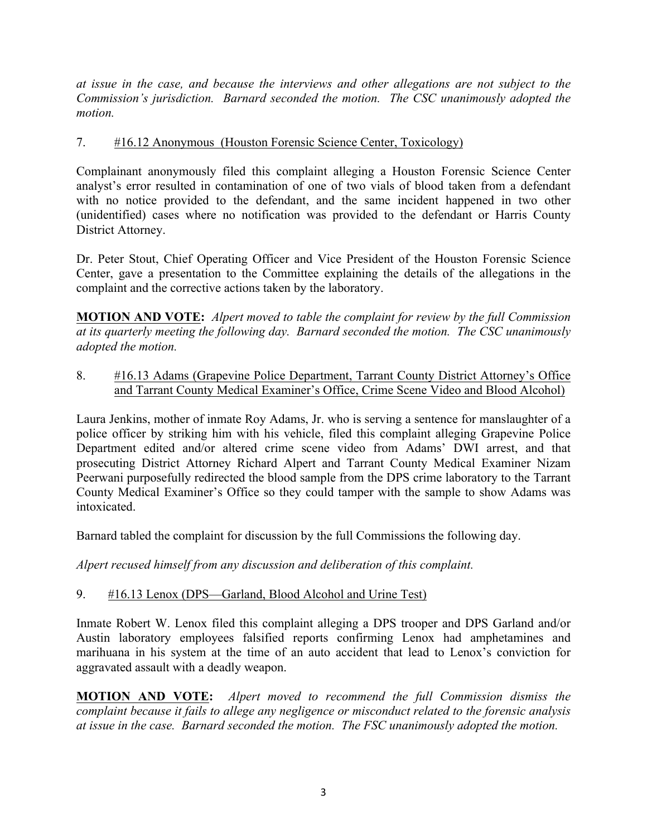*at issue in the case, and because the interviews and other allegations are not subject to the Commission's jurisdiction. Barnard seconded the motion. The CSC unanimously adopted the motion.* 

### 7. #16.12 Anonymous (Houston Forensic Science Center, Toxicology)

Complainant anonymously filed this complaint alleging a Houston Forensic Science Center analyst's error resulted in contamination of one of two vials of blood taken from a defendant with no notice provided to the defendant, and the same incident happened in two other (unidentified) cases where no notification was provided to the defendant or Harris County District Attorney.

Dr. Peter Stout, Chief Operating Officer and Vice President of the Houston Forensic Science Center, gave a presentation to the Committee explaining the details of the allegations in the complaint and the corrective actions taken by the laboratory.

**MOTION AND VOTE:** *Alpert moved to table the complaint for review by the full Commission at its quarterly meeting the following day. Barnard seconded the motion. The CSC unanimously adopted the motion.*

8. #16.13 Adams (Grapevine Police Department, Tarrant County District Attorney's Office and Tarrant County Medical Examiner's Office, Crime Scene Video and Blood Alcohol)

Laura Jenkins, mother of inmate Roy Adams, Jr. who is serving a sentence for manslaughter of a police officer by striking him with his vehicle, filed this complaint alleging Grapevine Police Department edited and/or altered crime scene video from Adams' DWI arrest, and that prosecuting District Attorney Richard Alpert and Tarrant County Medical Examiner Nizam Peerwani purposefully redirected the blood sample from the DPS crime laboratory to the Tarrant County Medical Examiner's Office so they could tamper with the sample to show Adams was intoxicated.

Barnard tabled the complaint for discussion by the full Commissions the following day.

*Alpert recused himself from any discussion and deliberation of this complaint.*

#### 9. #16.13 Lenox (DPS—Garland, Blood Alcohol and Urine Test)

Inmate Robert W. Lenox filed this complaint alleging a DPS trooper and DPS Garland and/or Austin laboratory employees falsified reports confirming Lenox had amphetamines and marihuana in his system at the time of an auto accident that lead to Lenox's conviction for aggravated assault with a deadly weapon.

**MOTION AND VOTE:** *Alpert moved to recommend the full Commission dismiss the complaint because it fails to allege any negligence or misconduct related to the forensic analysis at issue in the case. Barnard seconded the motion. The FSC unanimously adopted the motion.*